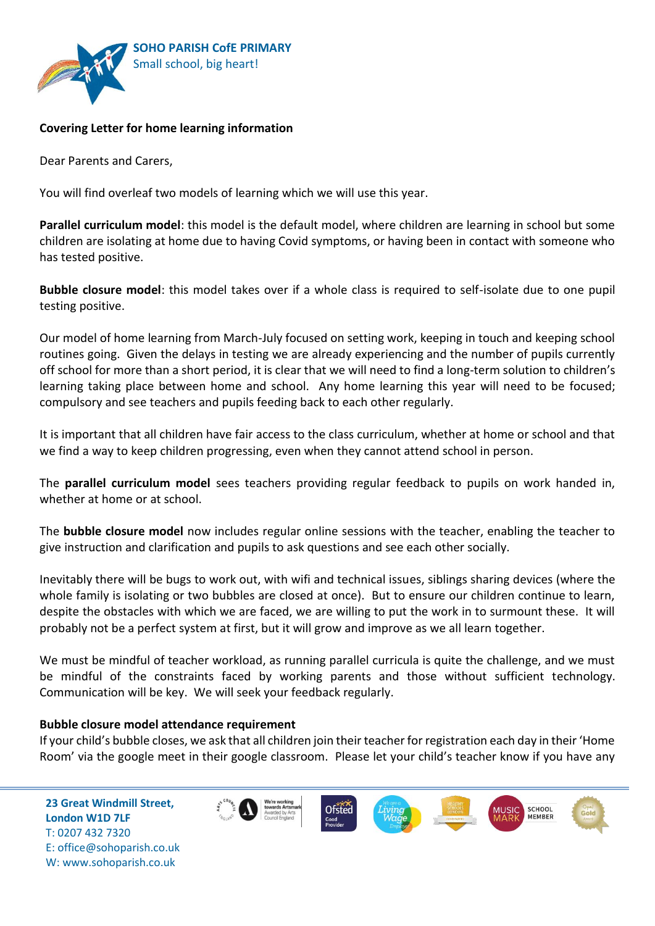

# **Covering Letter for home learning information**

Dear Parents and Carers,

You will find overleaf two models of learning which we will use this year.

**Parallel curriculum model**: this model is the default model, where children are learning in school but some children are isolating at home due to having Covid symptoms, or having been in contact with someone who has tested positive.

**Bubble closure model**: this model takes over if a whole class is required to self-isolate due to one pupil testing positive.

Our model of home learning from March-July focused on setting work, keeping in touch and keeping school routines going. Given the delays in testing we are already experiencing and the number of pupils currently off school for more than a short period, it is clear that we will need to find a long-term solution to children's learning taking place between home and school. Any home learning this year will need to be focused; compulsory and see teachers and pupils feeding back to each other regularly.

It is important that all children have fair access to the class curriculum, whether at home or school and that we find a way to keep children progressing, even when they cannot attend school in person.

The **parallel curriculum model** sees teachers providing regular feedback to pupils on work handed in, whether at home or at school.

The **bubble closure model** now includes regular online sessions with the teacher, enabling the teacher to give instruction and clarification and pupils to ask questions and see each other socially.

Inevitably there will be bugs to work out, with wifi and technical issues, siblings sharing devices (where the whole family is isolating or two bubbles are closed at once). But to ensure our children continue to learn, despite the obstacles with which we are faced, we are willing to put the work in to surmount these. It will probably not be a perfect system at first, but it will grow and improve as we all learn together.

We must be mindful of teacher workload, as running parallel curricula is quite the challenge, and we must be mindful of the constraints faced by working parents and those without sufficient technology. Communication will be key. We will seek your feedback regularly.

#### **Bubble closure model attendance requirement**

If your child's bubble closes, we ask that all children join their teacher for registration each day in their 'Home Room' via the google meet in their google classroom. Please let your child's teacher know if you have any

**23 Great Windmill Street, London W1D 7LF**  T: 0207 432 7320 E: office@sohoparish.co.uk W: www.sohoparish.co.uk

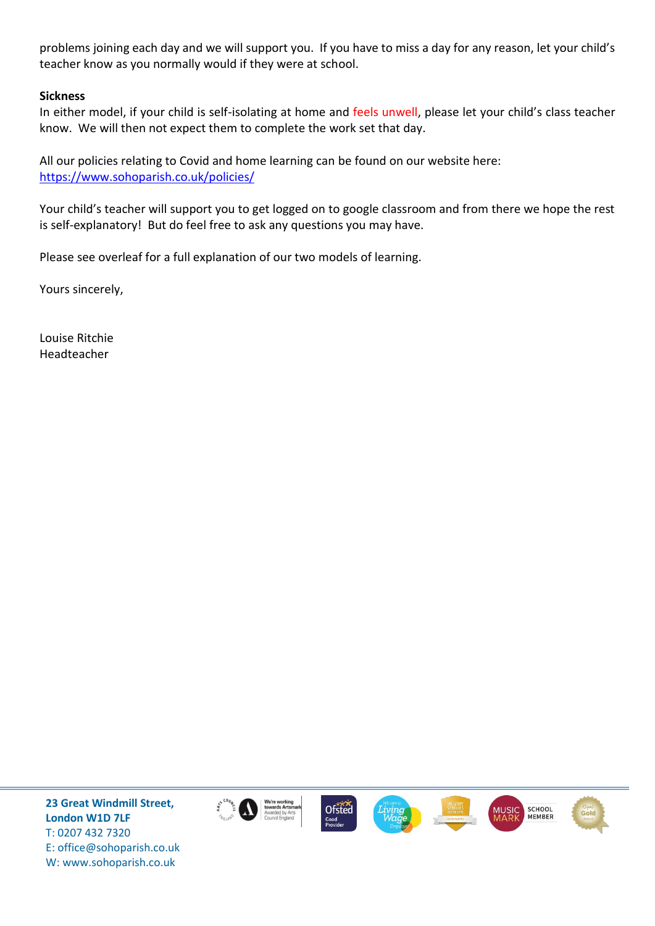problems joining each day and we will support you. If you have to miss a day for any reason, let your child's teacher know as you normally would if they were at school.

# **Sickness**

In either model, if your child is self-isolating at home and feels unwell, please let your child's class teacher know. We will then not expect them to complete the work set that day.

All our policies relating to Covid and home learning can be found on our website here: <https://www.sohoparish.co.uk/policies/>

Your child's teacher will support you to get logged on to google classroom and from there we hope the rest is self-explanatory! But do feel free to ask any questions you may have.

Please see overleaf for a full explanation of our two models of learning.

Yours sincerely,

Louise Ritchie Headteacher

**23 Great Windmill Street, London W1D 7LF**  T: 0207 432 7320 E: office@sohoparish.co.uk W: www.sohoparish.co.uk













l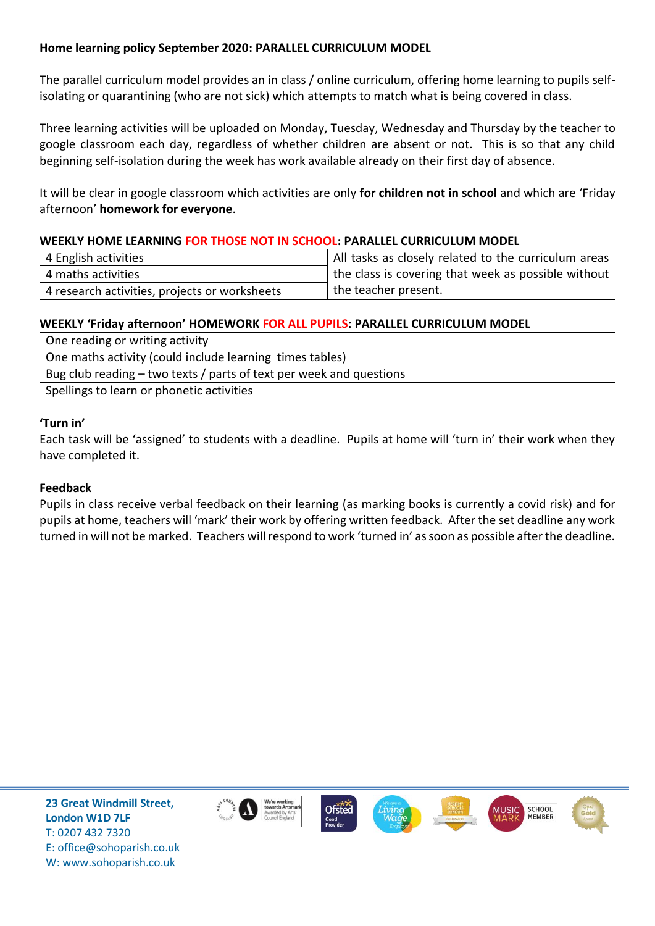# **Home learning policy September 2020: PARALLEL CURRICULUM MODEL**

The parallel curriculum model provides an in class / online curriculum, offering home learning to pupils selfisolating or quarantining (who are not sick) which attempts to match what is being covered in class.

Three learning activities will be uploaded on Monday, Tuesday, Wednesday and Thursday by the teacher to google classroom each day, regardless of whether children are absent or not. This is so that any child beginning self-isolation during the week has work available already on their first day of absence.

It will be clear in google classroom which activities are only **for children not in school** and which are 'Friday afternoon' **homework for everyone**.

# **WEEKLY HOME LEARNING FOR THOSE NOT IN SCHOOL: PARALLEL CURRICULUM MODEL**

| 4 English activities                          | All tasks as closely related to the curriculum areas |
|-----------------------------------------------|------------------------------------------------------|
| 4 maths activities                            | the class is covering that week as possible without  |
| 4 research activities, projects or worksheets | the teacher present.                                 |

# **WEEKLY 'Friday afternoon' HOMEWORK FOR ALL PUPILS: PARALLEL CURRICULUM MODEL**

| One reading or writing activity                                     |  |
|---------------------------------------------------------------------|--|
| One maths activity (could include learning times tables)            |  |
| Bug club reading – two texts / parts of text per week and questions |  |
| Spellings to learn or phonetic activities                           |  |

# **'Turn in'**

Each task will be 'assigned' to students with a deadline. Pupils at home will 'turn in' their work when they have completed it.

#### **Feedback**

Pupils in class receive verbal feedback on their learning (as marking books is currently a covid risk) and for pupils at home, teachers will 'mark' their work by offering written feedback. After the set deadline any work turned in will not be marked. Teachers will respond to work 'turned in' as soon as possible after the deadline.



**23 Great Windmill Street, London W1D 7LF**  T: 0207 432 7320 E: office@sohoparish.co.uk W: www.sohoparish.co.uk